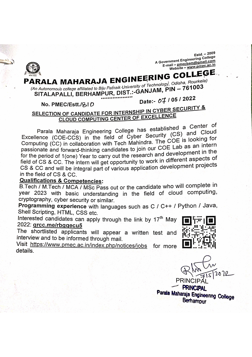Estd. - 2009 A Government Engineering College E-mail – pmecbam@gmail.com Website - www.pmec.ac.in

#### PARALA MAHARAJA ENGINEERING COLLEGE (An Autonomous college affiliated to Biju Pathaik University of Technology, Odisha, Rourkela) SITALAPALLI, BERHAMPUR, DIST.:-GANJAM, PIN - 761003 Date:- 07 / 05 / 2022

#### No. PMEC/Estt./&ID

#### SELECTION OF CANDIDATE FOR INTERNSHIP IN CYBER SECURITY & **CLOUD COMPUTING CENTER OF EXCELLENCE**

Parala Maharaja Engineering College has established a Center of Excellence (COE-CCS) in the field of Cyber Security (CS) and Cloud Computing (CC) in collaboration with Tech Mahindra. The COE is looking for passionate and forward-thinking candidates to join our COE Lab as an intern for the period of 1(one) Year to carry out the research and development in the field of CS & CC. The intern will get opportunity to work in different aspects of CS & CC and will be integral part of various application development projects in the field of CS & CC.

#### **Qualifications & Competencies:**

B. Tech / M. Tech / MCA / MSc Pass out or the candidate who will complete in year 2023 with basic understanding in the field of cloud computing, cryptography, cyber security or similar.

Programming experience with languages such as C / C++ / Python / Java, Shell Scripting, HTML, CSS etc.

Interested candidates can apply through the link by 17<sup>th</sup> May 2022: grcc.me/rbggecu5

The shortlisted applicants will appear a written test and interview and to be informed through mail.

Visit https://www.pmec.ac.in/index.php/notices/jobs for more details.

14. H

**PRINC** 

**PRINCIPAL** Parala Maharaja Engineering College Berhampur